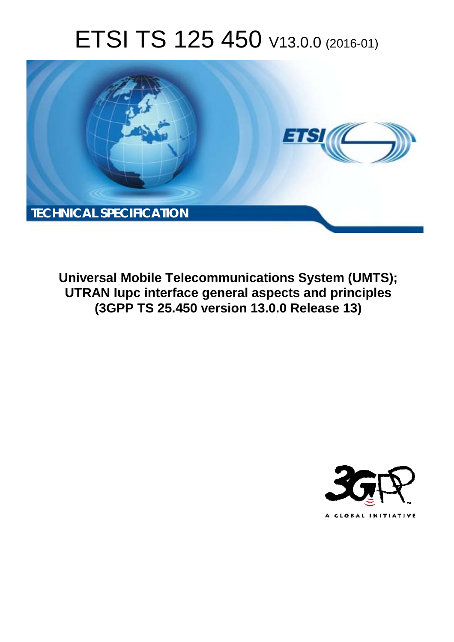# ETSI TS 125 450 V13.0.0 (2016-01)



**Universal Mobile Tel elecommunications System ( (UMTS); UTRAN Iupc interfa rface general aspects and prin rinciples (3GPP TS 25.4 .450 version 13.0.0 Release 13 13)** 

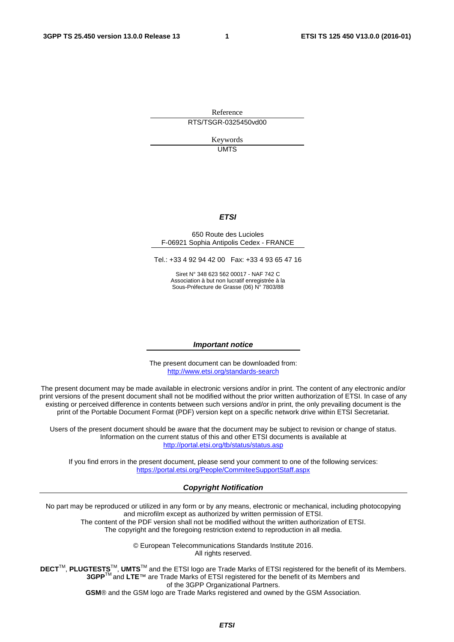Reference RTS/TSGR-0325450vd00

> Keywords UMTS

#### *ETSI*

#### 650 Route des Lucioles F-06921 Sophia Antipolis Cedex - FRANCE

Tel.: +33 4 92 94 42 00 Fax: +33 4 93 65 47 16

Siret N° 348 623 562 00017 - NAF 742 C Association à but non lucratif enregistrée à la Sous-Préfecture de Grasse (06) N° 7803/88

#### *Important notice*

The present document can be downloaded from: <http://www.etsi.org/standards-search>

The present document may be made available in electronic versions and/or in print. The content of any electronic and/or print versions of the present document shall not be modified without the prior written authorization of ETSI. In case of any existing or perceived difference in contents between such versions and/or in print, the only prevailing document is the print of the Portable Document Format (PDF) version kept on a specific network drive within ETSI Secretariat.

Users of the present document should be aware that the document may be subject to revision or change of status. Information on the current status of this and other ETSI documents is available at <http://portal.etsi.org/tb/status/status.asp>

If you find errors in the present document, please send your comment to one of the following services: <https://portal.etsi.org/People/CommiteeSupportStaff.aspx>

#### *Copyright Notification*

No part may be reproduced or utilized in any form or by any means, electronic or mechanical, including photocopying and microfilm except as authorized by written permission of ETSI.

The content of the PDF version shall not be modified without the written authorization of ETSI. The copyright and the foregoing restriction extend to reproduction in all media.

> © European Telecommunications Standards Institute 2016. All rights reserved.

**DECT**TM, **PLUGTESTS**TM, **UMTS**TM and the ETSI logo are Trade Marks of ETSI registered for the benefit of its Members. **3GPP**TM and **LTE**™ are Trade Marks of ETSI registered for the benefit of its Members and of the 3GPP Organizational Partners.

**GSM**® and the GSM logo are Trade Marks registered and owned by the GSM Association.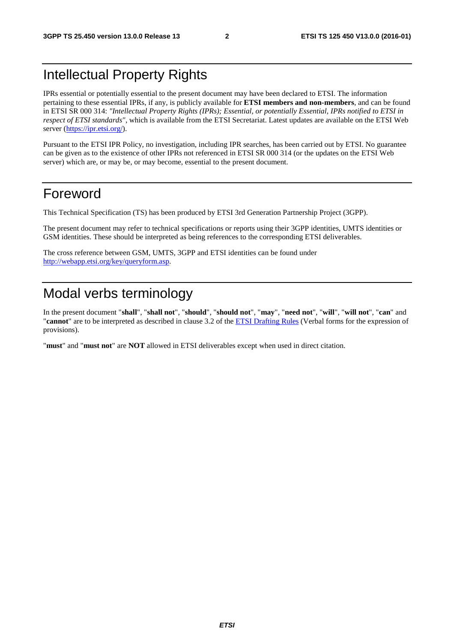## Intellectual Property Rights

IPRs essential or potentially essential to the present document may have been declared to ETSI. The information pertaining to these essential IPRs, if any, is publicly available for **ETSI members and non-members**, and can be found in ETSI SR 000 314: *"Intellectual Property Rights (IPRs); Essential, or potentially Essential, IPRs notified to ETSI in respect of ETSI standards"*, which is available from the ETSI Secretariat. Latest updates are available on the ETSI Web server [\(https://ipr.etsi.org/](https://ipr.etsi.org/)).

Pursuant to the ETSI IPR Policy, no investigation, including IPR searches, has been carried out by ETSI. No guarantee can be given as to the existence of other IPRs not referenced in ETSI SR 000 314 (or the updates on the ETSI Web server) which are, or may be, or may become, essential to the present document.

### Foreword

This Technical Specification (TS) has been produced by ETSI 3rd Generation Partnership Project (3GPP).

The present document may refer to technical specifications or reports using their 3GPP identities, UMTS identities or GSM identities. These should be interpreted as being references to the corresponding ETSI deliverables.

The cross reference between GSM, UMTS, 3GPP and ETSI identities can be found under [http://webapp.etsi.org/key/queryform.asp.](http://webapp.etsi.org/key/queryform.asp)

## Modal verbs terminology

In the present document "**shall**", "**shall not**", "**should**", "**should not**", "**may**", "**need not**", "**will**", "**will not**", "**can**" and "**cannot**" are to be interpreted as described in clause 3.2 of the [ETSI Drafting Rules](http://portal.etsi.org/Help/editHelp!/Howtostart/ETSIDraftingRules.aspx) (Verbal forms for the expression of provisions).

"**must**" and "**must not**" are **NOT** allowed in ETSI deliverables except when used in direct citation.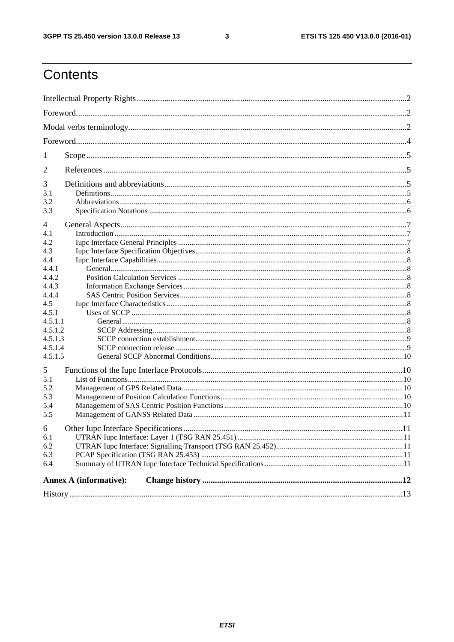$\mathbf{3}$ 

## Contents

| $\mathbf{I}$                  |  |  |  |  |  |
|-------------------------------|--|--|--|--|--|
| 2                             |  |  |  |  |  |
| 3                             |  |  |  |  |  |
| 3.1                           |  |  |  |  |  |
| 3.2                           |  |  |  |  |  |
| 3.3                           |  |  |  |  |  |
| 4                             |  |  |  |  |  |
| 4.1                           |  |  |  |  |  |
| 4.2                           |  |  |  |  |  |
| 4.3                           |  |  |  |  |  |
| 4.4                           |  |  |  |  |  |
| 4.4.1                         |  |  |  |  |  |
| 4.4.2                         |  |  |  |  |  |
| 4.4.3                         |  |  |  |  |  |
| 4.4.4                         |  |  |  |  |  |
| 4.5                           |  |  |  |  |  |
| 4.5.1<br>4.5.1.1              |  |  |  |  |  |
| 4.5.1.2                       |  |  |  |  |  |
| 4.5.1.3                       |  |  |  |  |  |
| 4.5.1.4                       |  |  |  |  |  |
| 4.5.1.5                       |  |  |  |  |  |
| 5                             |  |  |  |  |  |
| 5.1                           |  |  |  |  |  |
| 5.2                           |  |  |  |  |  |
| 5.3                           |  |  |  |  |  |
| 5.4                           |  |  |  |  |  |
| 5.5                           |  |  |  |  |  |
| 6                             |  |  |  |  |  |
| 6.1                           |  |  |  |  |  |
| 6.2                           |  |  |  |  |  |
| 6.3                           |  |  |  |  |  |
| 6.4                           |  |  |  |  |  |
| <b>Annex A (informative):</b> |  |  |  |  |  |
|                               |  |  |  |  |  |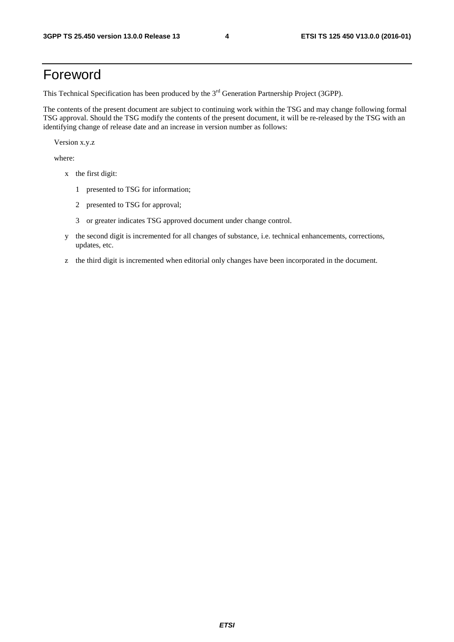### Foreword

This Technical Specification has been produced by the 3<sup>rd</sup> Generation Partnership Project (3GPP).

The contents of the present document are subject to continuing work within the TSG and may change following formal TSG approval. Should the TSG modify the contents of the present document, it will be re-released by the TSG with an identifying change of release date and an increase in version number as follows:

Version x.y.z

where:

- x the first digit:
	- 1 presented to TSG for information;
	- 2 presented to TSG for approval;
	- 3 or greater indicates TSG approved document under change control.
- y the second digit is incremented for all changes of substance, i.e. technical enhancements, corrections, updates, etc.
- z the third digit is incremented when editorial only changes have been incorporated in the document.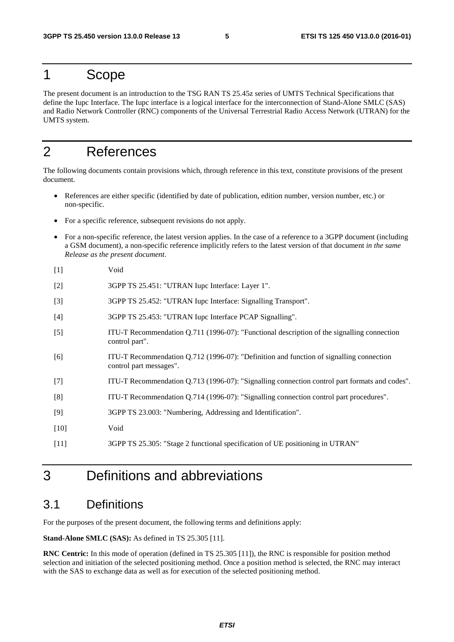### 1 Scope

The present document is an introduction to the TSG RAN TS 25.45z series of UMTS Technical Specifications that define the Iupc Interface. The Iupc interface is a logical interface for the interconnection of Stand-Alone SMLC (SAS) and Radio Network Controller (RNC) components of the Universal Terrestrial Radio Access Network (UTRAN) for the UMTS system.

### 2 References

The following documents contain provisions which, through reference in this text, constitute provisions of the present document.

- References are either specific (identified by date of publication, edition number, version number, etc.) or non-specific.
- For a specific reference, subsequent revisions do not apply.
- For a non-specific reference, the latest version applies. In the case of a reference to a 3GPP document (including a GSM document), a non-specific reference implicitly refers to the latest version of that document *in the same Release as the present document*.
- [1] Void
- [2] 3GPP TS 25.451: "UTRAN Iupc Interface: Layer 1".
- [3] 3GPP TS 25.452: "UTRAN Iupc Interface: Signalling Transport".
- [4] 3GPP TS 25.453: "UTRAN Iupc Interface PCAP Signalling".
- [5] ITU-T Recommendation Q.711 (1996-07): "Functional description of the signalling connection control part".
- [6] ITU-T Recommendation Q.712 (1996-07): "Definition and function of signalling connection control part messages".
- [7] ITU-T Recommendation Q.713 (1996-07): "Signalling connection control part formats and codes".
- [8] ITU-T Recommendation Q.714 (1996-07): "Signalling connection control part procedures".
- [9] 3GPP TS 23.003: "Numbering, Addressing and Identification".
- [10] Void
- [11] 3GPP TS 25.305: "Stage 2 functional specification of UE positioning in UTRAN"

## 3 Definitions and abbreviations

#### 3.1 Definitions

For the purposes of the present document, the following terms and definitions apply:

**Stand-Alone SMLC (SAS):** As defined in TS 25.305 [11].

**RNC Centric:** In this mode of operation (defined in TS 25.305 [11]), the RNC is responsible for position method selection and initiation of the selected positioning method. Once a position method is selected, the RNC may interact with the SAS to exchange data as well as for execution of the selected positioning method.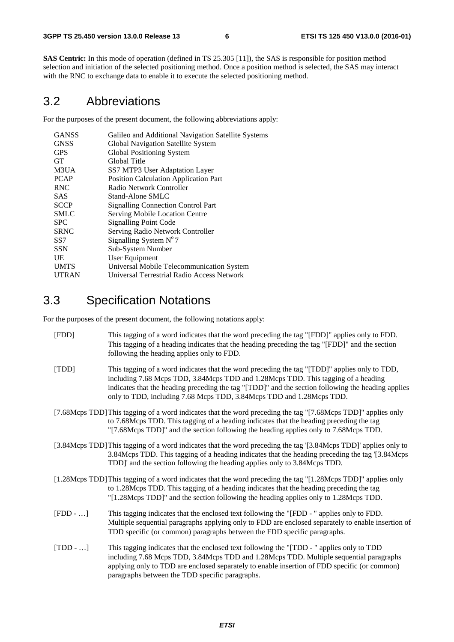**SAS Centric:** In this mode of operation (defined in TS 25.305 [11]), the SAS is responsible for position method selection and initiation of the selected positioning method. Once a position method is selected, the SAS may interact with the RNC to exchange data to enable it to execute the selected positioning method.

#### 3.2 Abbreviations

For the purposes of the present document, the following abbreviations apply:

| <b>GANSS</b> | Galileo and Additional Navigation Satellite Systems |
|--------------|-----------------------------------------------------|
| <b>GNSS</b>  | Global Navigation Satellite System                  |
| <b>GPS</b>   | Global Positioning System                           |
| <b>GT</b>    | Global Title                                        |
| M3UA         | SS7 MTP3 User Adaptation Layer                      |
| <b>PCAP</b>  | <b>Position Calculation Application Part</b>        |
| <b>RNC</b>   | Radio Network Controller                            |
| <b>SAS</b>   | Stand-Alone SMLC                                    |
| <b>SCCP</b>  | <b>Signalling Connection Control Part</b>           |
| <b>SMLC</b>  | Serving Mobile Location Centre                      |
| <b>SPC</b>   | <b>Signalling Point Code</b>                        |
| <b>SRNC</b>  | Serving Radio Network Controller                    |
| SS7          | Signalling System $N^{\circ}$ 7                     |
| <b>SSN</b>   | Sub-System Number                                   |
| UE           | User Equipment                                      |
| <b>UMTS</b>  | Universal Mobile Telecommunication System           |
| <b>UTRAN</b> | Universal Terrestrial Radio Access Network          |

### 3.3 Specification Notations

For the purposes of the present document, the following notations apply:

| [FDD] | This tagging of a word indicates that the word preceding the tag "[FDD]" applies only to FDD.<br>This tagging of a heading indicates that the heading preceding the tag "[FDD]" and the section<br>following the heading applies only to FDD.                                                                                                                    |
|-------|------------------------------------------------------------------------------------------------------------------------------------------------------------------------------------------------------------------------------------------------------------------------------------------------------------------------------------------------------------------|
| [TDD] | This tagging of a word indicates that the word preceding the tag "[TDD]" applies only to TDD,<br>including 7.68 Mcps TDD, 3.84Mcps TDD and 1.28Mcps TDD. This tagging of a heading<br>indicates that the heading preceding the tag "[TDD]" and the section following the heading applies<br>only to TDD, including 7.68 Mcps TDD, 3.84Mcps TDD and 1.28Mcps TDD. |
|       | [7.68Mcps TDD] This tagging of a word indicates that the word preceding the tag "[7.68Mcps TDD]" applies only<br>to 7.68Mcps TDD. This tagging of a heading indicates that the heading preceding the tag<br>"[7.68Mcps TDD]" and the section following the heading applies only to 7.68Mcps TDD.                                                                 |
|       | [3.84Mcps TDD] This tagging of a word indicates that the word preceding the tag [3.84Mcps TDD] applies only to<br>3.84Mcps TDD. This tagging of a heading indicates that the heading preceding the tag [3.84Mcps]<br>TDD]' and the section following the heading applies only to 3.84Mcps TDD.                                                                   |
|       | [1.28Mcps TDD] This tagging of a word indicates that the word preceding the tag "[1.28Mcps TDD]" applies only                                                                                                                                                                                                                                                    |

- to 1.28Mcps TDD. This tagging of a heading indicates that the heading preceding the tag "[1.28Mcps TDD]" and the section following the heading applies only to 1.28Mcps TDD.
- [FDD …] This tagging indicates that the enclosed text following the "[FDD " applies only to FDD. Multiple sequential paragraphs applying only to FDD are enclosed separately to enable insertion of TDD specific (or common) paragraphs between the FDD specific paragraphs.
- [TDD …] This tagging indicates that the enclosed text following the "[TDD " applies only to TDD including 7.68 Mcps TDD, 3.84Mcps TDD and 1.28Mcps TDD. Multiple sequential paragraphs applying only to TDD are enclosed separately to enable insertion of FDD specific (or common) paragraphs between the TDD specific paragraphs.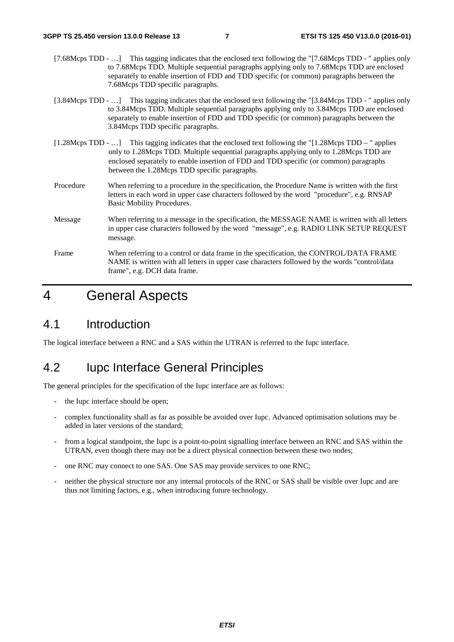- [7.68Mcps TDD ...] This tagging indicates that the enclosed text following the "[7.68Mcps TDD " applies only to 7.68Mcps TDD. Multiple sequential paragraphs applying only to 7.68Mcps TDD are enclosed separately to enable insertion of FDD and TDD specific (or common) paragraphs between the 7.68Mcps TDD specific paragraphs.
- [3.84Mcps TDD …] This tagging indicates that the enclosed text following the "[3.84Mcps TDD " applies only to 3.84Mcps TDD. Multiple sequential paragraphs applying only to 3.84Mcps TDD are enclosed separately to enable insertion of FDD and TDD specific (or common) paragraphs between the 3.84Mcps TDD specific paragraphs.
- [1.28Mcps TDD …] This tagging indicates that the enclosed text following the "[1.28Mcps TDD " applies only to 1.28Mcps TDD. Multiple sequential paragraphs applying only to 1.28Mcps TDD are enclosed separately to enable insertion of FDD and TDD specific (or common) paragraphs between the 1.28Mcps TDD specific paragraphs.
- Procedure When referring to a procedure in the specification, the Procedure Name is written with the first letters in each word in upper case characters followed by the word "procedure", e.g. RNSAP Basic Mobility Procedures.
- Message When referring to a message in the specification, the MESSAGE NAME is written with all letters in upper case characters followed by the word "message", e.g. RADIO LINK SETUP REQUEST message.
- Frame When referring to a control or data frame in the specification, the CONTROL/DATA FRAME NAME is written with all letters in upper case characters followed by the words "control/data frame", e.g. DCH data frame.

### 4 General Aspects

#### 4.1 Introduction

The logical interface between a RNC and a SAS within the UTRAN is referred to the Iupc interface.

#### 4.2 Iupc Interface General Principles

The general principles for the specification of the Iupc interface are as follows:

- the Iupc interface should be open;
- complex functionality shall as far as possible be avoided over Iupc. Advanced optimisation solutions may be added in later versions of the standard;
- from a logical standpoint, the Iupc is a point-to-point signalling interface between an RNC and SAS within the UTRAN, even though there may not be a direct physical connection between these two nodes;
- one RNC may connect to one SAS. One SAS may provide services to one RNC;
- neither the physical structure nor any internal protocols of the RNC or SAS shall be visible over Iupc and are thus not limiting factors, e.g., when introducing future technology.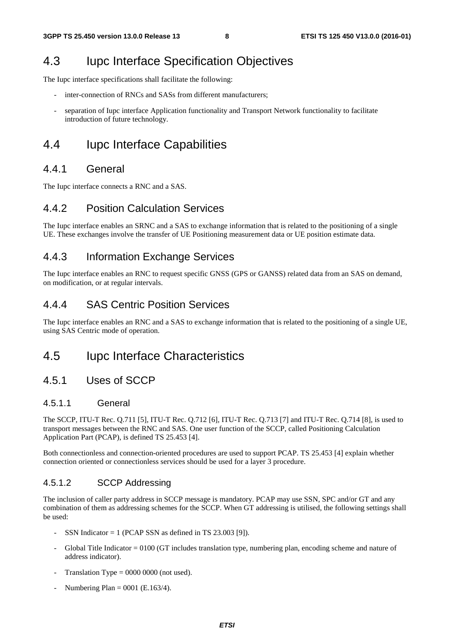### 4.3 Iupc Interface Specification Objectives

The Iupc interface specifications shall facilitate the following:

- inter-connection of RNCs and SASs from different manufacturers;
- separation of Iupc interface Application functionality and Transport Network functionality to facilitate introduction of future technology.

## 4.4 Iupc Interface Capabilities

#### 4.4.1 General

The Iupc interface connects a RNC and a SAS.

#### 4.4.2 Position Calculation Services

The Iupc interface enables an SRNC and a SAS to exchange information that is related to the positioning of a single UE. These exchanges involve the transfer of UE Positioning measurement data or UE position estimate data.

### 4.4.3 Information Exchange Services

The Iupc interface enables an RNC to request specific GNSS (GPS or GANSS) related data from an SAS on demand, on modification, or at regular intervals.

#### 4.4.4 SAS Centric Position Services

The Iupc interface enables an RNC and a SAS to exchange information that is related to the positioning of a single UE, using SAS Centric mode of operation.

### 4.5 Iupc Interface Characteristics

#### 4.5.1 Uses of SCCP

#### 4.5.1.1 General

The SCCP, ITU-T Rec. Q.711 [5], ITU-T Rec. Q.712 [6], ITU-T Rec. Q.713 [7] and ITU-T Rec. Q.714 [8], is used to transport messages between the RNC and SAS. One user function of the SCCP, called Positioning Calculation Application Part (PCAP), is defined TS 25.453 [4].

Both connectionless and connection-oriented procedures are used to support PCAP. TS 25.453 [4] explain whether connection oriented or connectionless services should be used for a layer 3 procedure.

#### 4.5.1.2 SCCP Addressing

The inclusion of caller party address in SCCP message is mandatory. PCAP may use SSN, SPC and/or GT and any combination of them as addressing schemes for the SCCP. When GT addressing is utilised, the following settings shall be used:

- SSN Indicator  $= 1$  (PCAP SSN as defined in TS 23.003 [9]).
- Global Title Indicator  $= 0100$  (GT includes translation type, numbering plan, encoding scheme and nature of address indicator).
- Translation Type =  $0000 0000$  (not used).
- Numbering Plan =  $0001$  (E.163/4).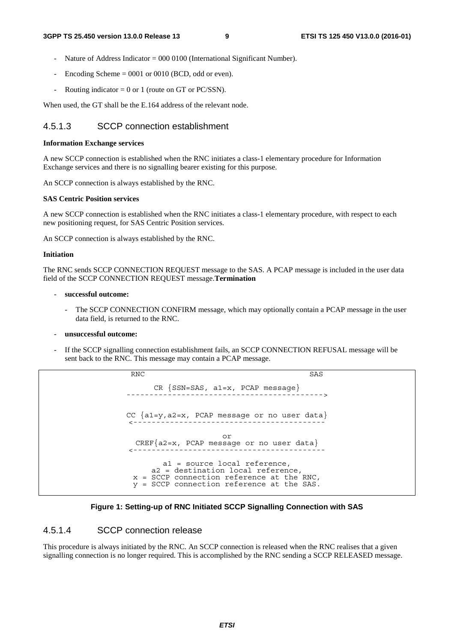- Nature of Address Indicator =  $000\,0100$  (International Significant Number).
- Encoding Scheme  $= 0001$  or 0010 (BCD, odd or even).
- Routing indicator = 0 or 1 (route on GT or PC/SSN).

When used, the GT shall be the E.164 address of the relevant node.

#### 4.5.1.3 SCCP connection establishment

#### **Information Exchange services**

A new SCCP connection is established when the RNC initiates a class-1 elementary procedure for Information Exchange services and there is no signalling bearer existing for this purpose.

An SCCP connection is always established by the RNC.

#### **SAS Centric Position services**

A new SCCP connection is established when the RNC initiates a class-1 elementary procedure, with respect to each new positioning request, for SAS Centric Position services.

An SCCP connection is always established by the RNC.

#### **Initiation**

The RNC sends SCCP CONNECTION REQUEST message to the SAS. A PCAP message is included in the user data field of the SCCP CONNECTION REQUEST message.**Termination** 

#### - **successful outcome:**

The SCCP CONNECTION CONFIRM message, which may optionally contain a PCAP message in the user data field, is returned to the RNC.

#### - **unsuccessful outcome:**

If the SCCP signalling connection establishment fails, an SCCP CONNECTION REFUSAL message will be sent back to the RNC. This message may contain a PCAP message.

RNC SAS

 $CR {SSN=SAS, al=x, PCAP message}$ CC {a1=y,a2=x, PCAP message or no user data} <----------------------------------------- or CREF{a2=x, PCAP message or no user data} <----------------------------------------- a1 = source local reference, a2 = destination local reference, x = SCCP connection reference at the RNC, y = SCCP connection reference at the SAS.

#### **Figure 1: Setting-up of RNC Initiated SCCP Signalling Connection with SAS**

#### 4.5.1.4 SCCP connection release

This procedure is always initiated by the RNC. An SCCP connection is released when the RNC realises that a given signalling connection is no longer required. This is accomplished by the RNC sending a SCCP RELEASED message.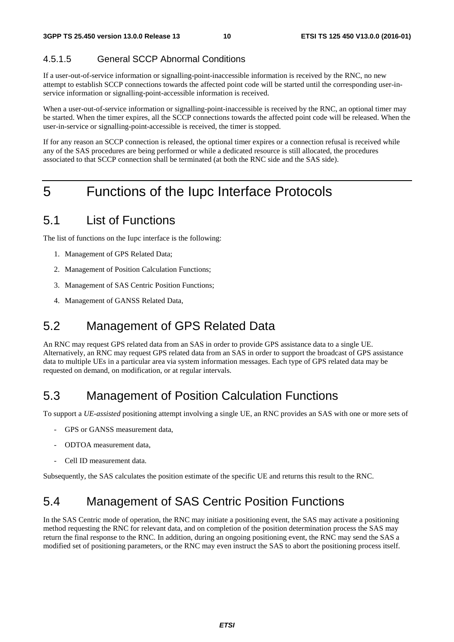#### 4.5.1.5 General SCCP Abnormal Conditions

If a user-out-of-service information or signalling-point-inaccessible information is received by the RNC, no new attempt to establish SCCP connections towards the affected point code will be started until the corresponding user-inservice information or signalling-point-accessible information is received.

When a user-out-of-service information or signalling-point-inaccessible is received by the RNC, an optional timer may be started. When the timer expires, all the SCCP connections towards the affected point code will be released. When the user-in-service or signalling-point-accessible is received, the timer is stopped.

If for any reason an SCCP connection is released, the optional timer expires or a connection refusal is received while any of the SAS procedures are being performed or while a dedicated resource is still allocated, the procedures associated to that SCCP connection shall be terminated (at both the RNC side and the SAS side).

## 5 Functions of the Iupc Interface Protocols

### 5.1 List of Functions

The list of functions on the Iupc interface is the following:

- 1. Management of GPS Related Data;
- 2. Management of Position Calculation Functions;
- 3. Management of SAS Centric Position Functions;
- 4. Management of GANSS Related Data,

## 5.2 Management of GPS Related Data

An RNC may request GPS related data from an SAS in order to provide GPS assistance data to a single UE. Alternatively, an RNC may request GPS related data from an SAS in order to support the broadcast of GPS assistance data to multiple UEs in a particular area via system information messages. Each type of GPS related data may be requested on demand, on modification, or at regular intervals.

## 5.3 Management of Position Calculation Functions

To support a *UE-assisted* positioning attempt involving a single UE, an RNC provides an SAS with one or more sets of

- GPS or GANSS measurement data,
- ODTOA measurement data,
- Cell ID measurement data.

Subsequently, the SAS calculates the position estimate of the specific UE and returns this result to the RNC.

## 5.4 Management of SAS Centric Position Functions

In the SAS Centric mode of operation, the RNC may initiate a positioning event, the SAS may activate a positioning method requesting the RNC for relevant data, and on completion of the position determination process the SAS may return the final response to the RNC. In addition, during an ongoing positioning event, the RNC may send the SAS a modified set of positioning parameters, or the RNC may even instruct the SAS to abort the positioning process itself.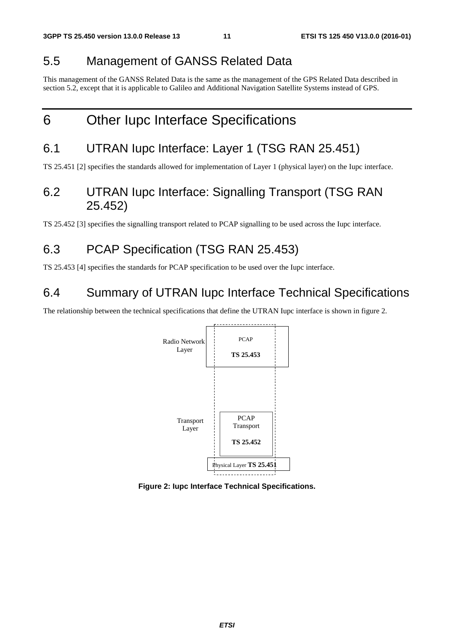### 5.5 Management of GANSS Related Data

This management of the GANSS Related Data is the same as the management of the GPS Related Data described in section 5.2, except that it is applicable to Galileo and Additional Navigation Satellite Systems instead of GPS.

## 6 Other Iupc Interface Specifications

## 6.1 UTRAN Iupc Interface: Layer 1 (TSG RAN 25.451)

TS 25.451 [2] specifies the standards allowed for implementation of Layer 1 (physical layer) on the Iupc interface.

### 6.2 UTRAN Iupc Interface: Signalling Transport (TSG RAN 25.452)

TS 25.452 [3] specifies the signalling transport related to PCAP signalling to be used across the Iupc interface.

## 6.3 PCAP Specification (TSG RAN 25.453)

TS 25.453 [4] specifies the standards for PCAP specification to be used over the Iupc interface.

### 6.4 Summary of UTRAN Iupc Interface Technical Specifications

The relationship between the technical specifications that define the UTRAN Iupc interface is shown in figure 2.



**Figure 2: Iupc Interface Technical Specifications.**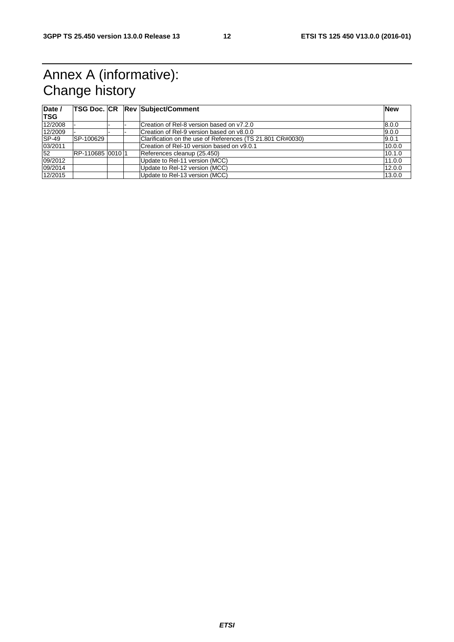## Annex A (informative): Change history

| Date /<br><b>TSG</b> |                  |  | <b>TSG Doc. CR Rev Subject/Comment</b>                     | <b>New</b> |
|----------------------|------------------|--|------------------------------------------------------------|------------|
|                      |                  |  |                                                            |            |
| 12/2008              |                  |  | Creation of Rel-8 version based on y7.2.0                  | 8.0.0      |
| 12/2009              |                  |  | Creation of Rel-9 version based on y8.0.0                  | 9.0.0      |
| $SP-49$              | SP-100629        |  | Clarification on the use of References (TS 21.801 CR#0030) | 9.0.1      |
| 03/2011              |                  |  | Creation of Rel-10 version based on y9.0.1                 | 10.0.0     |
| 52                   | RP-110685 0010 1 |  | References cleanup (25.450)                                | 10.1.0     |
| 09/2012              |                  |  | Update to Rel-11 version (MCC)                             | 11.0.0     |
| 09/2014              |                  |  | Update to Rel-12 version (MCC)                             | 12.0.0     |
| 12/2015              |                  |  | Update to Rel-13 version (MCC)                             | 13.0.0     |